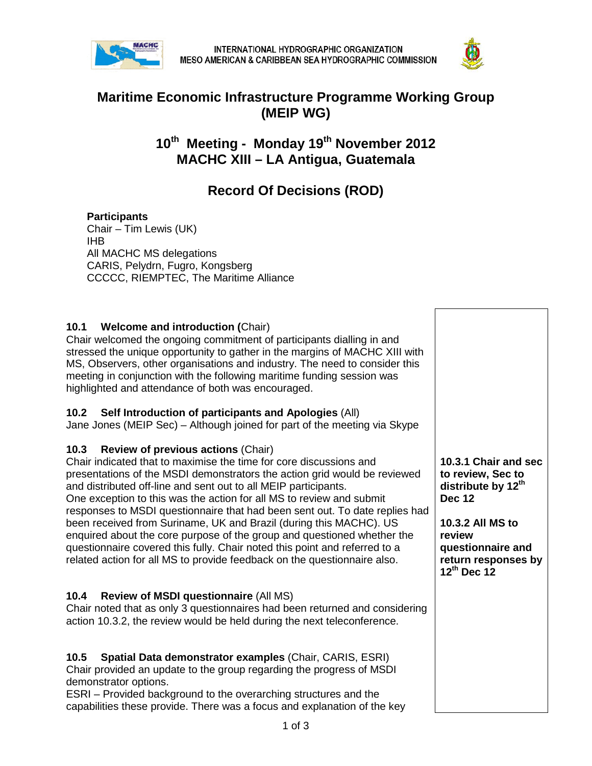



# **Maritime Economic Infrastructure Programme Working Group (MEIP WG)**

# **10th Meeting - Monday 19th November 2012 MACHC XIII – LA Antigua, Guatemala**

# **Record Of Decisions (ROD)**

#### **Participants**

Chair – Tim Lewis (UK) IHB All MACHC MS delegations CARIS, Pelydrn, Fugro, Kongsberg CCCCC, RIEMPTEC, The Maritime Alliance

#### **10.1 Welcome and introduction (**Chair)

Chair welcomed the ongoing commitment of participants dialling in and stressed the unique opportunity to gather in the margins of MACHC XIII with MS, Observers, other organisations and industry. The need to consider this meeting in conjunction with the following maritime funding session was highlighted and attendance of both was encouraged.

#### **10.2 Self Introduction of participants and Apologies** (All)

Jane Jones (MEIP Sec) – Although joined for part of the meeting via Skype

#### **10.3 Review of previous actions** (Chair)

Chair indicated that to maximise the time for core discussions and presentations of the MSDI demonstrators the action grid would be reviewed and distributed off-line and sent out to all MEIP participants. One exception to this was the action for all MS to review and submit responses to MSDI questionnaire that had been sent out. To date replies had been received from Suriname, UK and Brazil (during this MACHC). US enquired about the core purpose of the group and questioned whether the questionnaire covered this fully. Chair noted this point and referred to a related action for all MS to provide feedback on the questionnaire also.

#### **10.4 Review of MSDI questionnaire** (All MS)

Chair noted that as only 3 questionnaires had been returned and considering action 10.3.2, the review would be held during the next teleconference.

#### **10.5 Spatial Data demonstrator examples** (Chair, CARIS, ESRI) Chair provided an update to the group regarding the progress of MSDI demonstrator options.

ESRI – Provided background to the overarching structures and the capabilities these provide. There was a focus and explanation of the key

**10.3.1 Chair and sec to review, Sec to**  distribute by 12<sup>th</sup> **Dec 12**

**10.3.2 All MS to review questionnaire and return responses by 12th Dec 12**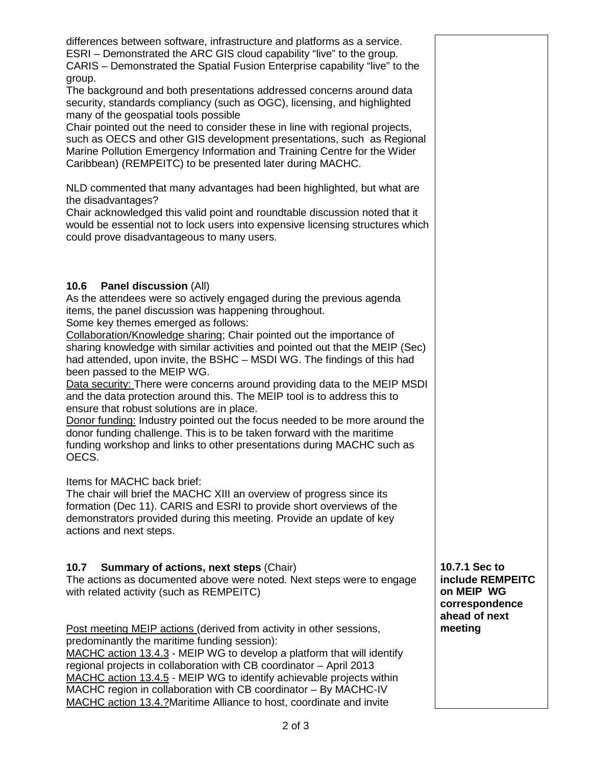differences between software, infrastructure and platforms as a service. ESRI – Demonstrated the ARC GIS cloud capability "live" to the group. CARIS – Demonstrated the Spatial Fusion Enterprise capability "live" to the group. The background and both presentations addressed concerns around data security, standards compliancy (such as OGC), licensing, and highlighted many of the geospatial tools possible Chair pointed out the need to consider these in line with regional projects, such as OECS and other GIS development presentations, such as Regional Marine Pollution Emergency Information and Training Centre for the Wider Caribbean) (REMPEITC) to be presented later during MACHC. NLD commented that many advantages had been highlighted, but what are the disadvantages? Chair acknowledged this valid point and roundtable discussion noted that it would be essential not to lock users into expensive licensing structures which could prove disadvantageous to many users. **10.6 Panel discussion** (All) As the attendees were so actively engaged during the previous agenda items, the panel discussion was happening throughout. Some key themes emerged as follows: Collaboration/Knowledge sharing; Chair pointed out the importance of sharing knowledge with similar activities and pointed out that the MEIP (Sec) had attended, upon invite, the BSHC – MSDI WG. The findings of this had been passed to the MEIP WG. Data security: There were concerns around providing data to the MEIP MSDI and the data protection around this. The MEIP tool is to address this to ensure that robust solutions are in place. Donor funding: Industry pointed out the focus needed to be more around the donor funding challenge. This is to be taken forward with the maritime funding workshop and links to other presentations during MACHC such as OECS. Items for MACHC back brief: The chair will brief the MACHC XIII an overview of progress since its formation (Dec 11). CARIS and ESRI to provide short overviews of the demonstrators provided during this meeting. Provide an update of key actions and next steps. **10.7 Summary of actions, next steps** (Chair) The actions as documented above were noted. Next steps were to engage with related activity (such as REMPEITC) Post meeting MEIP actions (derived from activity in other sessions, predominantly the maritime funding session): MACHC action 13.4.3 - MEIP WG to develop a platform that will identify **10.7.1 Sec to include REMPEITC on MEIP WG correspondence ahead of next meeting**

regional projects in collaboration with CB coordinator – April 2013 MACHC action 13.4.5 - MEIP WG to identify achievable projects within MACHC region in collaboration with CB coordinator – By MACHC-IV MACHC action 13.4.?Maritime Alliance to host, coordinate and invite